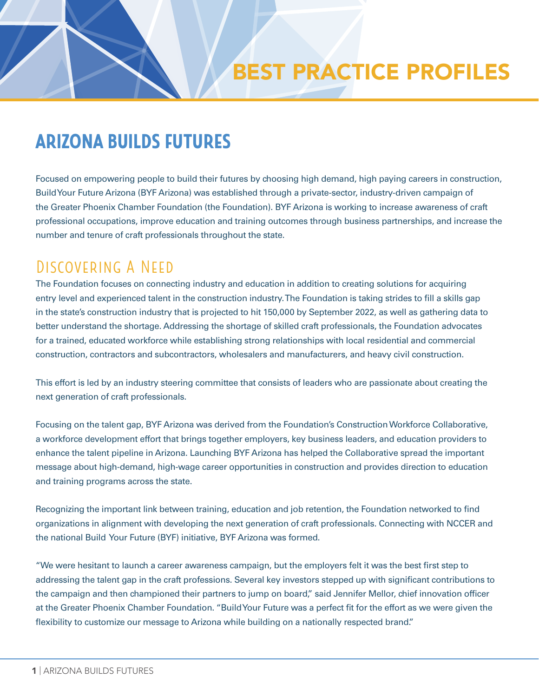## ARIZONA BUILDS FUTURES

Focused on empowering people to build their futures by choosing high demand, high paying careers in construction, Build Your Future Arizona (BYF Arizona) was established through a private-sector, industry-driven campaign of the Greater Phoenix Chamber Foundation (the Foundation). BYF Arizona is working to increase awareness of craft professional occupations, improve education and training outcomes through business partnerships, and increase the number and tenure of craft professionals throughout the state.

### DISCOVERING A NEED

The Foundation focuses on connecting industry and education in addition to creating solutions for acquiring entry level and experienced talent in the construction industry. The Foundation is taking strides to fill a skills gap in the state's construction industry that is projected to hit 150,000 by September 2022, as well as gathering data to better understand the shortage. Addressing the shortage of skilled craft professionals, the Foundation advocates for a trained, educated workforce while establishing strong relationships with local residential and commercial construction, contractors and subcontractors, wholesalers and manufacturers, and heavy civil construction.

This effort is led by an industry steering committee that consists of leaders who are passionate about creating the next generation of craft professionals.

Focusing on the talent gap, BYF Arizona was derived from the Foundation's Construction Workforce Collaborative, a workforce development effort that brings together employers, key business leaders, and education providers to enhance the talent pipeline in Arizona. Launching BYF Arizona has helped the Collaborative spread the important message about high-demand, high-wage career opportunities in construction and provides direction to education and training programs across the state.

Recognizing the important link between training, education and job retention, the Foundation networked to find organizations in alignment with developing the next generation of craft professionals. Connecting with NCCER and the national Build Your Future (BYF) initiative, BYF Arizona was formed.

"We were hesitant to launch a career awareness campaign, but the employers felt it was the best first step to addressing the talent gap in the craft professions. Several key investors stepped up with significant contributions to the campaign and then championed their partners to jump on board," said Jennifer Mellor, chief innovation officer at the Greater Phoenix Chamber Foundation. "Build Your Future was a perfect fit for the effort as we were given the flexibility to customize our message to Arizona while building on a nationally respected brand."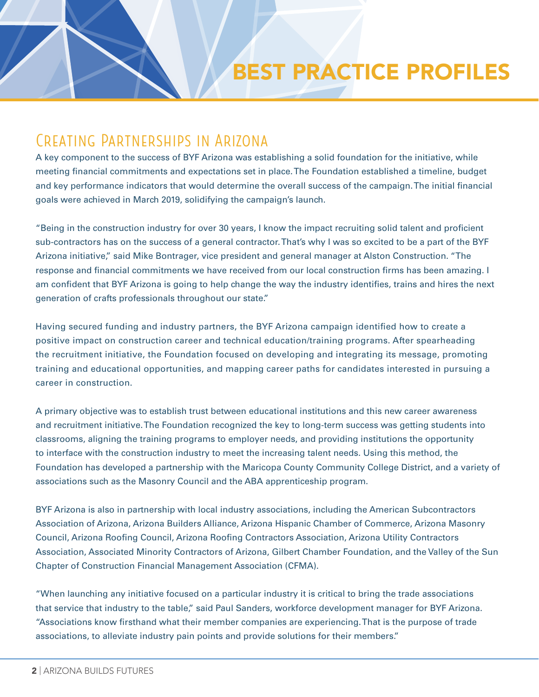## BEST PRACTICE PROFILES

#### Creating Partnerships in Arizona

A key component to the success of BYF Arizona was establishing a solid foundation for the initiative, while meeting financial commitments and expectations set in place. The Foundation established a timeline, budget and key performance indicators that would determine the overall success of the campaign. The initial financial goals were achieved in March 2019, solidifying the campaign's launch.

"Being in the construction industry for over 30 years, I know the impact recruiting solid talent and proficient sub-contractors has on the success of a general contractor. That's why I was so excited to be a part of the BYF Arizona initiative," said Mike Bontrager, vice president and general manager at Alston Construction. "The response and financial commitments we have received from our local construction firms has been amazing. I am confident that BYF Arizona is going to help change the way the industry identifies, trains and hires the next generation of crafts professionals throughout our state."

Having secured funding and industry partners, the BYF Arizona campaign identified how to create a positive impact on construction career and technical education/training programs. After spearheading the recruitment initiative, the Foundation focused on developing and integrating its message, promoting training and educational opportunities, and mapping career paths for candidates interested in pursuing a career in construction.

A primary objective was to establish trust between educational institutions and this new career awareness and recruitment initiative. The Foundation recognized the key to long-term success was getting students into classrooms, aligning the training programs to employer needs, and providing institutions the opportunity to interface with the construction industry to meet the increasing talent needs. Using this method, the Foundation has developed a partnership with the Maricopa County Community College District, and a variety of associations such as the Masonry Council and the ABA apprenticeship program.

BYF Arizona is also in partnership with local industry associations, including the American Subcontractors Association of Arizona, Arizona Builders Alliance, Arizona Hispanic Chamber of Commerce, Arizona Masonry Council, Arizona Roofing Council, Arizona Roofing Contractors Association, Arizona Utility Contractors Association, Associated Minority Contractors of Arizona, Gilbert Chamber Foundation, and the Valley of the Sun Chapter of Construction Financial Management Association (CFMA).

"When launching any initiative focused on a particular industry it is critical to bring the trade associations that service that industry to the table," said Paul Sanders, workforce development manager for BYF Arizona. "Associations know firsthand what their member companies are experiencing. That is the purpose of trade associations, to alleviate industry pain points and provide solutions for their members."